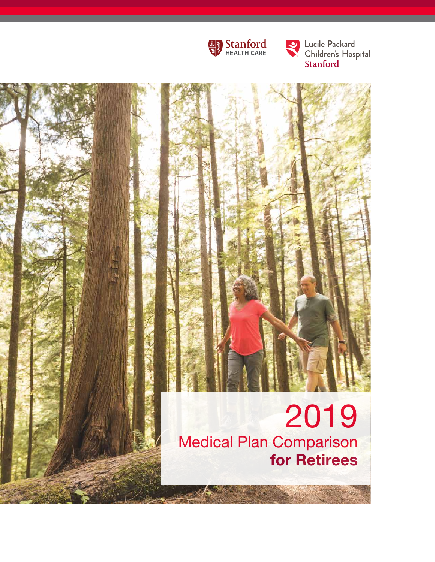

Lucile Packard<br>Children's Hospital<br>Stanford

## 2019 Medical Plan Comparison for Retirees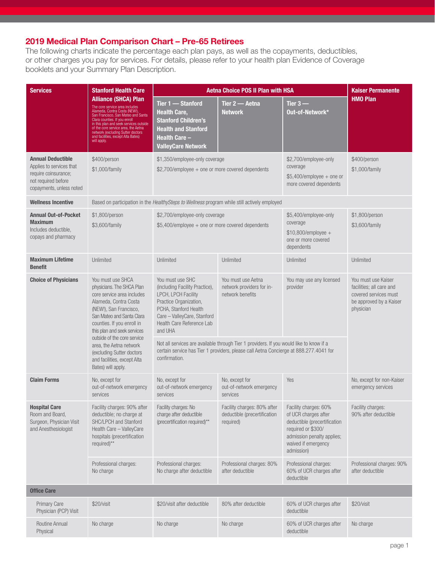## 2019 Medical Plan Comparison Chart – Pre-65 Retirees

The following charts indicate the percentage each plan pays, as well as the copayments, deductibles, or other charges you pay for services. For details, please refer to your health plan Evidence of Coverage booklets and your Summary Plan Description.

| <b>Services</b>                                                                                                                 | <b>Stanford Health Care</b>                                                                                                                                                                                                                                                                                                                     | <b>Aetna Choice POS II Plan with HSA</b>                                                                                                                                                                             | <b>Kaiser Permanente</b>                                                                                                                                                                                                                                |                                                                                                                                                                        |                                                                                                                  |
|---------------------------------------------------------------------------------------------------------------------------------|-------------------------------------------------------------------------------------------------------------------------------------------------------------------------------------------------------------------------------------------------------------------------------------------------------------------------------------------------|----------------------------------------------------------------------------------------------------------------------------------------------------------------------------------------------------------------------|---------------------------------------------------------------------------------------------------------------------------------------------------------------------------------------------------------------------------------------------------------|------------------------------------------------------------------------------------------------------------------------------------------------------------------------|------------------------------------------------------------------------------------------------------------------|
| will apply.                                                                                                                     | <b>Alliance (SHCA) Plan</b><br>The core service area includes<br>Alameda, Contra Costa (NEW!),<br>San Francisco, San Mateo and Santa<br>Clara counties. If you enroll<br>in this plan and seek services outside<br>of the core service area, the Aetna<br>network (excluding Sutter doctors<br>and facilities, except Alta Bates)               | Tier 1 - Stanford<br><b>Health Care,</b><br><b>Stanford Children's</b><br><b>Health and Stanford</b><br>Health Care –<br><b>ValleyCare Network</b>                                                                   | Tier 2 - Aetna<br><b>Network</b>                                                                                                                                                                                                                        | Tier $3-$<br>Out-of-Network*                                                                                                                                           | <b>HMO Plan</b>                                                                                                  |
| <b>Annual Deductible</b><br>Applies to services that<br>require coinsurance;<br>not required before<br>copayments, unless noted | \$400/person<br>\$1,000/family                                                                                                                                                                                                                                                                                                                  | \$1,350/employee-only coverage<br>$$2,700$ /employee + one or more covered dependents                                                                                                                                |                                                                                                                                                                                                                                                         | \$2,700/employee-only<br>coverage<br>$$5,400/$ employee + one or<br>more covered dependents                                                                            | \$400/person<br>\$1,000/family                                                                                   |
| <b>Wellness Incentive</b>                                                                                                       |                                                                                                                                                                                                                                                                                                                                                 |                                                                                                                                                                                                                      | Based on participation in the HealthySteps to Wellness program while still actively employed                                                                                                                                                            |                                                                                                                                                                        |                                                                                                                  |
| <b>Annual Out-of-Pocket</b><br><b>Maximum</b><br>Includes deductible,<br>copays and pharmacy                                    | \$1,800/person<br>\$3,600/family                                                                                                                                                                                                                                                                                                                | \$2,700/employee-only coverage<br>$$5,400/$ employee + one or more covered dependents                                                                                                                                |                                                                                                                                                                                                                                                         | \$5,400/employee-only<br>coverage<br>$$10,800/employee +$<br>one or more covered<br>dependents                                                                         | \$1,800/person<br>\$3,600/family                                                                                 |
| <b>Maximum Lifetime</b><br><b>Benefit</b>                                                                                       | Unlimited                                                                                                                                                                                                                                                                                                                                       | Unlimited                                                                                                                                                                                                            | Unlimited                                                                                                                                                                                                                                               | Unlimited                                                                                                                                                              | Unlimited                                                                                                        |
| <b>Choice of Physicians</b>                                                                                                     | You must use SHCA<br>physicians. The SHCA Plan<br>core service area includes<br>Alameda, Contra Costa<br>(NEW!), San Francisco,<br>San Mateo and Santa Clara<br>counties. If you enroll in<br>this plan and seek services<br>outside of the core service<br>area, the Aetna network<br>(excluding Sutter doctors<br>and facilities, except Alta | You must use SHC<br>(including Facility Practice),<br>LPCH, LPCH Facility<br>Practice Organization,<br>PCHA, Stanford Health<br>Care - ValleyCare, Stanford<br>Health Care Reference Lab<br>and UHA<br>confirmation. | You must use Aetna<br>network providers for in-<br>network benefits<br>Not all services are available through Tier 1 providers. If you would like to know if a<br>certain service has Tier 1 providers, please call Aetna Concierge at 888.277.4041 for | You may use any licensed<br>provider                                                                                                                                   | You must use Kaiser<br>facilities; all care and<br>covered services must<br>be approved by a Kaiser<br>physician |
| <b>Claim Forms</b>                                                                                                              | Bates) will apply.<br>No, except for<br>out-of-network emergency<br>services                                                                                                                                                                                                                                                                    | No, except for<br>out-of-network emergency<br>services                                                                                                                                                               | No, except for<br>out-of-network emergency<br>services                                                                                                                                                                                                  | Yes                                                                                                                                                                    | No, except for non-Kaiser<br>emergency services                                                                  |
| <b>Hospital Care</b><br>Room and Board,<br>Surgeon, Physician Visit<br>and Anesthesiologist                                     | Facility charges: 90% after<br>deductible; no charge at<br>SHC/LPCH and Stanford<br>Health Care - ValleyCare<br>hospitals (precertification<br>required)**                                                                                                                                                                                      | Facility charges: No<br>charge after deductible<br>(precertification required)**                                                                                                                                     | Facility charges: 80% after<br>deductible (precertification<br>required)                                                                                                                                                                                | Facility charges: 60%<br>of UCR charges after<br>deductible (precertification<br>required or \$300/<br>admission penalty applies;<br>waived if emergency<br>admission) | Facility charges:<br>90% after deductible                                                                        |
|                                                                                                                                 | Professional charges:<br>No charge                                                                                                                                                                                                                                                                                                              | Professional charges:<br>No charge after deductible                                                                                                                                                                  | Professional charges: 80%<br>after deductible                                                                                                                                                                                                           | Professional charges:<br>60% of UCR charges after<br>deductible                                                                                                        | Professional charges: 90%<br>after deductible                                                                    |
| <b>Office Care</b>                                                                                                              |                                                                                                                                                                                                                                                                                                                                                 |                                                                                                                                                                                                                      |                                                                                                                                                                                                                                                         |                                                                                                                                                                        |                                                                                                                  |
| <b>Primary Care</b><br>Physician (PCP) Visit                                                                                    | \$20/visit                                                                                                                                                                                                                                                                                                                                      | \$20/visit after deductible                                                                                                                                                                                          | 80% after deductible                                                                                                                                                                                                                                    | 60% of UCR charges after<br>deductible                                                                                                                                 | \$20/visit                                                                                                       |
| Routine Annual<br>Physical                                                                                                      | No charge                                                                                                                                                                                                                                                                                                                                       | No charge                                                                                                                                                                                                            | No charge                                                                                                                                                                                                                                               | 60% of UCR charges after<br>deductible                                                                                                                                 | No charge                                                                                                        |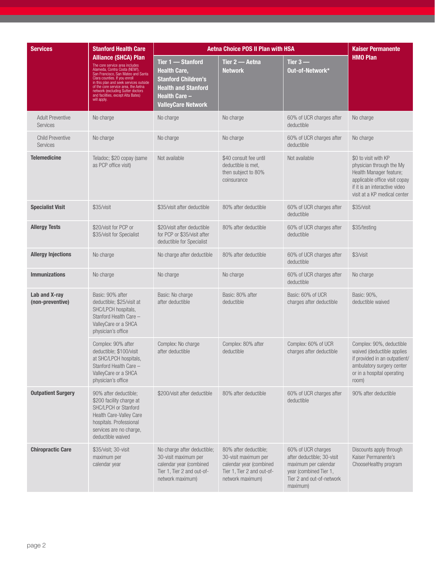| <b>Services</b>                            | <b>Stanford Health Care</b>                                                                                                                                                                                                                                                                                                                      | <b>Aetna Choice POS II Plan with HSA</b>                                                                                                           | <b>Kaiser Permanente</b>                                                                                                   |                                                                                                                                             |                                                                                                                                                                               |
|--------------------------------------------|--------------------------------------------------------------------------------------------------------------------------------------------------------------------------------------------------------------------------------------------------------------------------------------------------------------------------------------------------|----------------------------------------------------------------------------------------------------------------------------------------------------|----------------------------------------------------------------------------------------------------------------------------|---------------------------------------------------------------------------------------------------------------------------------------------|-------------------------------------------------------------------------------------------------------------------------------------------------------------------------------|
|                                            | <b>Alliance (SHCA) Plan</b><br>The core service area includes<br>Alameda, Contra Costa (NEW!),<br>San Francisco, San Mateo and Santa<br>Clara counties. If you enroll<br>in this plan and seek services outside<br>of the core service area, the Aetna<br>network (excluding Sutter doctors<br>and facilities, except Alta Bates)<br>will apply. | Tier 1 - Stanford<br>Health Care,<br><b>Stanford Children's</b><br><b>Health and Stanford</b><br><b>Health Care -</b><br><b>ValleyCare Network</b> | Tier 2 — Aetna<br><b>Network</b>                                                                                           | Tier $3-$<br>Out-of-Network*                                                                                                                | <b>HMO Plan</b>                                                                                                                                                               |
| <b>Adult Preventive</b><br><b>Services</b> | No charge                                                                                                                                                                                                                                                                                                                                        | No charge                                                                                                                                          | No charge                                                                                                                  | 60% of UCR charges after<br>deductible                                                                                                      | No charge                                                                                                                                                                     |
| <b>Child Preventive</b><br><b>Services</b> | No charge                                                                                                                                                                                                                                                                                                                                        | No charge                                                                                                                                          | No charge                                                                                                                  | 60% of UCR charges after<br>deductible                                                                                                      | No charge                                                                                                                                                                     |
| <b>Telemedicine</b>                        | Teladoc; \$20 copay (same<br>as PCP office visit)                                                                                                                                                                                                                                                                                                | Not available                                                                                                                                      | \$40 consult fee until<br>deductible is met,<br>then subject to 80%<br>coinsurance                                         | Not available                                                                                                                               | \$0 to visit with KP<br>physician through the My<br>Health Manager feature;<br>applicable office visit copay<br>if it is an interactive video<br>visit at a KP medical center |
| <b>Specialist Visit</b>                    | \$35/visit                                                                                                                                                                                                                                                                                                                                       | \$35/visit after deductible                                                                                                                        | 80% after deductible                                                                                                       | 60% of UCR charges after<br>deductible                                                                                                      | \$35/visit                                                                                                                                                                    |
| <b>Allergy Tests</b>                       | \$20/visit for PCP or<br>\$35/visit for Specialist                                                                                                                                                                                                                                                                                               | \$20/visit after deductible<br>for PCP or \$35/visit after<br>deductible for Specialist                                                            | 80% after deductible                                                                                                       | 60% of UCR charges after<br>deductible                                                                                                      | \$35/testing                                                                                                                                                                  |
| <b>Allergy Injections</b>                  | No charge                                                                                                                                                                                                                                                                                                                                        | No charge after deductible                                                                                                                         | 80% after deductible                                                                                                       | 60% of UCR charges after<br>deductible                                                                                                      | \$3/visit                                                                                                                                                                     |
| <b>Immunizations</b>                       | No charge                                                                                                                                                                                                                                                                                                                                        | No charge                                                                                                                                          | No charge                                                                                                                  | 60% of UCR charges after<br>deductible                                                                                                      | No charge                                                                                                                                                                     |
| Lab and X-ray<br>(non-preventive)          | Basic: 90% after<br>deductible; \$25/visit at<br>SHC/LPCH hospitals,<br>Stanford Health Care -<br>ValleyCare or a SHCA<br>physician's office                                                                                                                                                                                                     | Basic: No charge<br>after deductible                                                                                                               | Basic: 80% after<br>deductible                                                                                             | Basic: 60% of UCR<br>charges after deductible                                                                                               | Basic: 90%,<br>deductible waived                                                                                                                                              |
|                                            | Complex: 90% after<br>deductible; \$100/visit<br>at SHC/LPCH hospitals,<br>Stanford Health Care -<br>ValleyCare or a SHCA<br>physician's office                                                                                                                                                                                                  | Complex: No charge<br>after deductible                                                                                                             | Complex: 80% after<br>deductible                                                                                           | Complex: 60% of UCR<br>charges after deductible                                                                                             | Complex: 90%, deductible<br>waived (deductible applies<br>if provided in an outpatient/<br>ambulatory surgery center<br>or in a hospital operating<br>room)                   |
| <b>Outpatient Surgery</b>                  | 90% after deductible;<br>\$200 facility charge at<br>SHC/LPCH or Stanford<br>Health Care-Valley Care<br>hospitals. Professional<br>services are no charge,<br>deductible waived                                                                                                                                                                  | \$200/visit after deductible                                                                                                                       | 80% after deductible                                                                                                       | 60% of UCR charges after<br>deductible                                                                                                      | 90% after deductible                                                                                                                                                          |
| <b>Chiropractic Care</b>                   | \$35/visit; 30-visit<br>maximum per<br>calendar year                                                                                                                                                                                                                                                                                             | No charge after deductible;<br>30-visit maximum per<br>calendar year (combined<br>Tier 1, Tier 2 and out-of-<br>network maximum)                   | 80% after deductible;<br>30-visit maximum per<br>calendar year (combined<br>Tier 1, Tier 2 and out-of-<br>network maximum) | 60% of UCR charges<br>after deductible; 30-visit<br>maximum per calendar<br>year (combined Tier 1,<br>Tier 2 and out-of-network<br>maximum) | Discounts apply through<br>Kaiser Permanente's<br>ChooseHealthy program                                                                                                       |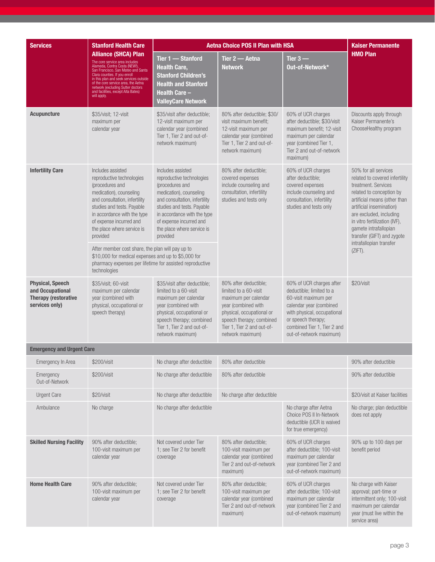| <b>Services</b>                                                                              | <b>Stanford Health Care</b>                                                                                                                                                                                                                                                                                                                      |                                                                                                                                                                                                                                                                 | <b>Aetna Choice POS II Plan with HSA</b>                                                                                                                                                                 |                                                                                                                                                                                                                        | <b>Kaiser Permanente</b>                                                                                                                                                                                                                                                                                                          |
|----------------------------------------------------------------------------------------------|--------------------------------------------------------------------------------------------------------------------------------------------------------------------------------------------------------------------------------------------------------------------------------------------------------------------------------------------------|-----------------------------------------------------------------------------------------------------------------------------------------------------------------------------------------------------------------------------------------------------------------|----------------------------------------------------------------------------------------------------------------------------------------------------------------------------------------------------------|------------------------------------------------------------------------------------------------------------------------------------------------------------------------------------------------------------------------|-----------------------------------------------------------------------------------------------------------------------------------------------------------------------------------------------------------------------------------------------------------------------------------------------------------------------------------|
|                                                                                              | <b>Alliance (SHCA) Plan</b><br>The core service area includes<br>Alameda, Contra Costa (NEW!).<br>San Francisco, San Mateo and Santa<br>Clara counties. If you enroll<br>in this plan and seek services outside<br>of the core service area, the Aetna<br>network (excluding Sutter doctors<br>and facilities, except Alta Bates)<br>will apply. | Tier 1 - Stanford<br><b>Health Care,</b><br><b>Stanford Children's</b><br><b>Health and Stanford</b><br><b>Health Care -</b><br><b>ValleyCare Network</b>                                                                                                       | Tier 2 - Aetna<br><b>Network</b>                                                                                                                                                                         | Tier $3-$<br>Out-of-Network*                                                                                                                                                                                           | <b>HMO Plan</b>                                                                                                                                                                                                                                                                                                                   |
| <b>Acupuncture</b>                                                                           | \$35/visit; 12-visit<br>maximum per<br>calendar year                                                                                                                                                                                                                                                                                             | \$35/visit after deductible;<br>12-visit maximum per<br>calendar year (combined<br>Tier 1, Tier 2 and out-of-<br>network maximum)                                                                                                                               | 80% after deductible: \$30/<br>visit maximum benefit;<br>12-visit maximum per<br>calendar year (combined<br>Tier 1, Tier 2 and out-of-<br>network maximum)                                               | 60% of UCR charges<br>after deductible; \$30/visit<br>maximum benefit; 12-visit<br>maximum per calendar<br>year (combined Tier 1,<br>Tier 2 and out-of-network<br>maximum)                                             | Discounts apply through<br>Kaiser Permanente's<br>ChooseHealthy program                                                                                                                                                                                                                                                           |
| <b>Infertility Care</b>                                                                      | Includes assisted<br>reproductive technologies<br>(procedures and<br>medication), counseling<br>and consultation, infertility<br>studies and tests. Payable<br>in accordance with the type<br>of expense incurred and<br>the place where service is<br>provided<br>After member cost share, the plan will pay up to                              | Includes assisted<br>reproductive technologies<br>(procedures and<br>medication), counseling<br>and consultation, infertility<br>studies and tests. Payable<br>in accordance with the type<br>of expense incurred and<br>the place where service is<br>provided | 80% after deductible;<br>covered expenses<br>include counseling and<br>consultation, infertility<br>studies and tests only                                                                               | 60% of UCR charges<br>after deductible:<br>covered expenses<br>include counseling and<br>consultation, infertility<br>studies and tests only                                                                           | 50% for all services<br>related to covered infertility<br>treatment. Services<br>related to conception by<br>artificial means (other than<br>artificial insemination)<br>are excluded, including<br>in vitro fertilization (IVF),<br>gamete intrafallopian<br>transfer (GIFT) and zygote<br>intrafallopian transfer<br>$(ZIFT)$ . |
|                                                                                              | \$10,000 for medical expenses and up to \$5,000 for<br>pharmacy expenses per lifetime for assisted reproductive<br>technologies                                                                                                                                                                                                                  |                                                                                                                                                                                                                                                                 |                                                                                                                                                                                                          |                                                                                                                                                                                                                        |                                                                                                                                                                                                                                                                                                                                   |
| <b>Physical, Speech</b><br>and Occupational<br><b>Therapy (restorative</b><br>services only) | \$35/visit; 60-visit<br>maximum per calendar<br>year (combined with<br>physical, occupational or<br>speech therapy)                                                                                                                                                                                                                              | \$35/visit after deductible;<br>limited to a 60-visit<br>maximum per calendar<br>year (combined with<br>physical, occupational or<br>speech therapy; combined<br>Tier 1, Tier 2 and out-of-<br>network maximum)                                                 | 80% after deductible;<br>limited to a 60-visit<br>maximum per calendar<br>year (combined with<br>physical, occupational or<br>speech therapy; combined<br>Tier 1, Tier 2 and out-of-<br>network maximum) | 60% of UCR charges after<br>deductible; limited to a<br>60-visit maximum per<br>calendar year (combined<br>with physical, occupational<br>or speech therapy;<br>combined Tier 1. Tier 2 and<br>out-of-network maximum) | \$20/visit                                                                                                                                                                                                                                                                                                                        |
| <b>Emergency and Urgent Care</b>                                                             |                                                                                                                                                                                                                                                                                                                                                  |                                                                                                                                                                                                                                                                 |                                                                                                                                                                                                          |                                                                                                                                                                                                                        |                                                                                                                                                                                                                                                                                                                                   |
| Emergency In Area                                                                            | \$200/visit                                                                                                                                                                                                                                                                                                                                      | No charge after deductible                                                                                                                                                                                                                                      | 80% after deductible                                                                                                                                                                                     |                                                                                                                                                                                                                        | 90% after deductible                                                                                                                                                                                                                                                                                                              |
| Emergency<br>Out-of-Network                                                                  | \$200/visit                                                                                                                                                                                                                                                                                                                                      | No charge after deductible                                                                                                                                                                                                                                      | 80% after deductible                                                                                                                                                                                     |                                                                                                                                                                                                                        | 90% after deductible                                                                                                                                                                                                                                                                                                              |
| <b>Urgent Care</b>                                                                           | \$20/visit                                                                                                                                                                                                                                                                                                                                       | No charge after deductible                                                                                                                                                                                                                                      | No charge after deductible                                                                                                                                                                               |                                                                                                                                                                                                                        | \$20/visit at Kaiser facilities                                                                                                                                                                                                                                                                                                   |
| Ambulance                                                                                    | No charge                                                                                                                                                                                                                                                                                                                                        | No charge after deductible                                                                                                                                                                                                                                      | No charge after Aetna<br>Choice POS II In-Network<br>deductible (UCR is waived<br>for true emergency)                                                                                                    |                                                                                                                                                                                                                        | No charge; plan deductible<br>does not apply                                                                                                                                                                                                                                                                                      |
| <b>Skilled Nursing Facility</b>                                                              | 90% after deductible;<br>100-visit maximum per<br>calendar year                                                                                                                                                                                                                                                                                  | Not covered under Tier<br>1; see Tier 2 for benefit<br>coverage                                                                                                                                                                                                 | 80% after deductible;<br>100-visit maximum per<br>calendar year (combined<br>Tier 2 and out-of-network<br>maximum)                                                                                       | 60% of UCR charges<br>after deductible; 100-visit<br>maximum per calendar<br>year (combined Tier 2 and<br>out-of-network maximum)                                                                                      | 90% up to 100 days per<br>benefit period                                                                                                                                                                                                                                                                                          |
| <b>Home Health Care</b>                                                                      | 90% after deductible;<br>100-visit maximum per<br>calendar year                                                                                                                                                                                                                                                                                  | Not covered under Tier<br>1; see Tier 2 for benefit<br>coverage                                                                                                                                                                                                 | 80% after deductible;<br>100-visit maximum per<br>calendar year (combined<br>Tier 2 and out-of-network<br>maximum)                                                                                       | 60% of UCR charges<br>after deductible; 100-visit<br>maximum per calendar<br>year (combined Tier 2 and<br>out-of-network maximum)                                                                                      | No charge with Kaiser<br>approval; part-time or<br>intermittent only; 100-visit<br>maximum per calendar<br>year (must live within the<br>service area)                                                                                                                                                                            |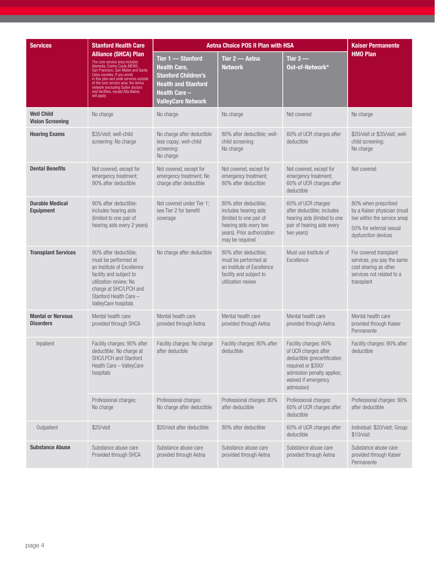| <b>Services</b>                              | <b>Stanford Health Care</b>                                                                                                                                                                                                                                                                                                                      |                                                                                                                                                    | <b>Aetna Choice POS II Plan with HSA</b>                                                                                                              |                                                                                                                                                                        | <b>Kaiser Permanente</b>                                                                                                              |
|----------------------------------------------|--------------------------------------------------------------------------------------------------------------------------------------------------------------------------------------------------------------------------------------------------------------------------------------------------------------------------------------------------|----------------------------------------------------------------------------------------------------------------------------------------------------|-------------------------------------------------------------------------------------------------------------------------------------------------------|------------------------------------------------------------------------------------------------------------------------------------------------------------------------|---------------------------------------------------------------------------------------------------------------------------------------|
|                                              | <b>Alliance (SHCA) Plan</b><br>The core service area includes<br>Alameda, Contra Costa (NEW!),<br>San Francisco, San Mateo and Santa<br>Clara counties. If you enroll<br>in this plan and seek services outside<br>of the core service area, the Aetna<br>network (excluding Sutter doctors<br>and facilities, except Alta Bates)<br>will apply. | Tier 1 - Stanford<br><b>Health Care,</b><br><b>Stanford Children's</b><br><b>Health and Stanford</b><br>Health Care –<br><b>ValleyCare Network</b> | Tier 2 - Aetna<br><b>Network</b>                                                                                                                      | Tier $3-$<br>Out-of-Network*                                                                                                                                           | <b>HMO Plan</b>                                                                                                                       |
| <b>Well Child</b><br><b>Vision Screening</b> | No charge                                                                                                                                                                                                                                                                                                                                        | No charge                                                                                                                                          | No charge                                                                                                                                             | Not covered                                                                                                                                                            | No charge                                                                                                                             |
| <b>Hearing Exams</b>                         | \$35/visit; well-child<br>screening: No charge                                                                                                                                                                                                                                                                                                   | No charge after deductible<br>less copay; well-child<br>screening:<br>No charge                                                                    | 80% after deductible; well-<br>child screening:<br>No charge                                                                                          | 60% of UCR charges after<br>deductible                                                                                                                                 | \$20/visit or \$35/visit; well-<br>child screening:<br>No charge                                                                      |
| <b>Dental Benefits</b>                       | Not covered, except for<br>emergency treatment;<br>90% after deductible                                                                                                                                                                                                                                                                          | Not covered, except for<br>emergency treatment; No<br>charge after deductible                                                                      | Not covered, except for<br>emergency treatment;<br>80% after deductible                                                                               | Not covered, except for<br>emergency treatment;<br>60% of UCR charges after<br>deductible                                                                              | Not covered                                                                                                                           |
| <b>Durable Medical</b><br><b>Equipment</b>   | 90% after deductible;<br>includes hearing aids<br>(limited to one pair of<br>hearing aids every 2 years)                                                                                                                                                                                                                                         | Not covered under Tier 1:<br>see Tier 2 for benefit<br>coverage                                                                                    | 80% after deductible;<br>includes hearing aids<br>(limited to one pair of<br>hearing aids every two<br>years). Prior authorization<br>may be required | 60% of UCR charges<br>after deductible; includes<br>hearing aids (limited to one<br>pair of hearing aids every<br>two years)                                           | 80% when prescribed<br>by a Kaiser physician (must<br>live within the service area)<br>50% for external sexual<br>dysfunction devices |
| <b>Transplant Services</b>                   | 90% after deductible;<br>must be performed at<br>an Institute of Excellence<br>facility and subject to<br>utilization review; No<br>charge at SHC/LPCH and<br>Stanford Health Care -<br>ValleyCare hospitals                                                                                                                                     | No charge after deductible                                                                                                                         | 80% after deductible;<br>must be performed at<br>an Institute of Excellence<br>facility and subject to<br>utilization review                          | Must use Institute of<br>Excellence                                                                                                                                    | For covered transplant<br>services, you pay the same<br>cost sharing as other<br>services not related to a<br>transplant              |
| <b>Mental or Nervous</b><br><b>Disorders</b> | Mental health care<br>provided through SHCA                                                                                                                                                                                                                                                                                                      | Mental health care<br>provided through Aetna                                                                                                       | Mental health care<br>provided through Aetna                                                                                                          | Mental health care<br>provided through Aetna                                                                                                                           | Mental health care<br>provided through Kaiser<br>Permanente                                                                           |
| Inpatient                                    | Facility charges: 90% after<br>deductible; No charge at<br>SHC/LPCH and Stanford<br>Health Care - ValleyCare<br>hospitals                                                                                                                                                                                                                        | Facility charges: No charge<br>after deducible                                                                                                     | Facility charges: 80% after<br>deductible                                                                                                             | Facility charges: 60%<br>of UCR charges after<br>deductible (precertification<br>required or \$300/<br>admission penalty applies;<br>waived if emergency<br>admission) | Facility charges: 90% after<br>deductible                                                                                             |
|                                              | Professional charges:<br>No charge                                                                                                                                                                                                                                                                                                               | Professional charges:<br>No charge after deductible                                                                                                | Professional charges: 80%<br>after deductible                                                                                                         | Professional charges:<br>60% of UCR charges after<br>deductible                                                                                                        | Professional charges: 90%<br>after deductible                                                                                         |
| Outpatient                                   | \$20/visit                                                                                                                                                                                                                                                                                                                                       | \$20/visit after deductible                                                                                                                        | 80% after deductible                                                                                                                                  | 60% of UCR charges after<br>deductible                                                                                                                                 | Individual: \$20/visit; Group:<br>\$10/visit                                                                                          |
| <b>Substance Abuse</b>                       | Substance abuse care<br>Provided through SHCA                                                                                                                                                                                                                                                                                                    | Substance abuse care<br>provided through Aetna                                                                                                     | Substance abuse care<br>provided through Aetna                                                                                                        | Substance abuse care<br>provided through Aetna                                                                                                                         | Substance abuse care<br>provided through Kaiser<br>Permanente                                                                         |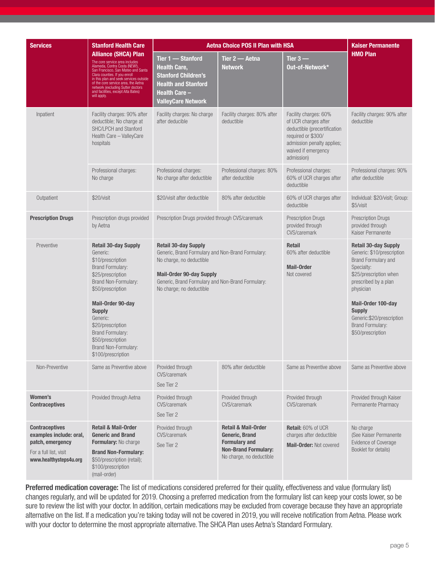| <b>Services</b>                                                                                                          | <b>Stanford Health Care</b>                                                                                                                                                                                                                                                                                                                      | <b>Aetna Choice POS II Plan with HSA</b>                                                                                                                                                                                         | <b>Kaiser Permanente</b>                                                                                                            |                                                                                                                                                                        |                                                                                                                                                               |
|--------------------------------------------------------------------------------------------------------------------------|--------------------------------------------------------------------------------------------------------------------------------------------------------------------------------------------------------------------------------------------------------------------------------------------------------------------------------------------------|----------------------------------------------------------------------------------------------------------------------------------------------------------------------------------------------------------------------------------|-------------------------------------------------------------------------------------------------------------------------------------|------------------------------------------------------------------------------------------------------------------------------------------------------------------------|---------------------------------------------------------------------------------------------------------------------------------------------------------------|
|                                                                                                                          | <b>Alliance (SHCA) Plan</b><br>The core service area includes<br>Alameda, Contra Costa (NEW!),<br>San Francisco, San Mateo and Santa<br>Clara counties. If you enroll<br>in this plan and seek services outside<br>of the core service area, the Aetna<br>network (excluding Sutter doctors<br>and facilities, except Alta Bates)<br>will apply. | Tier 1 - Stanford<br><b>Health Care,</b><br><b>Stanford Children's</b><br><b>Health and Stanford</b><br><b>Health Care -</b><br><b>ValleyCare Network</b>                                                                        | Tier 2 - Aetna<br>Network                                                                                                           | Tier $3-$<br>Out-of-Network*                                                                                                                                           | <b>HMO Plan</b>                                                                                                                                               |
| Inpatient                                                                                                                | Facility charges: 90% after<br>deductible; No charge at<br>SHC/LPCH and Stanford<br>Health Care - ValleyCare<br>hospitals                                                                                                                                                                                                                        | Facility charges: No charge<br>after deducible                                                                                                                                                                                   | Facility charges: 80% after<br>deductible                                                                                           | Facility charges: 60%<br>of UCR charges after<br>deductible (precertification<br>required or \$300/<br>admission penalty applies;<br>waived if emergency<br>admission) | Facility charges: 90% after<br>deductible                                                                                                                     |
|                                                                                                                          | Professional charges:<br>No charge                                                                                                                                                                                                                                                                                                               | Professional charges:<br>No charge after deductible                                                                                                                                                                              | Professional charges: 80%<br>after deductible                                                                                       | Professional charges:<br>60% of UCR charges after<br>deductible                                                                                                        | Professional charges: 90%<br>after deductible                                                                                                                 |
| Outpatient                                                                                                               | \$20/visit                                                                                                                                                                                                                                                                                                                                       | \$20/visit after deductible                                                                                                                                                                                                      | 80% after deductible                                                                                                                | 60% of UCR charges after<br>deductible                                                                                                                                 | Individual: \$20/visit; Group:<br>\$5/visit                                                                                                                   |
| <b>Prescription Drugs</b>                                                                                                | Prescription drugs provided<br>by Aetna                                                                                                                                                                                                                                                                                                          | Prescription Drugs provided through CVS/caremark                                                                                                                                                                                 |                                                                                                                                     | <b>Prescription Drugs</b><br>provided through<br>CVS/caremark                                                                                                          | <b>Prescription Drugs</b><br>provided through<br>Kaiser Permanente                                                                                            |
| Preventive                                                                                                               | <b>Retail 30-day Supply</b><br>Generic:<br>\$10/prescription<br><b>Brand Formulary:</b><br>\$25/prescription<br>Brand Non-Formulary:<br>\$50/prescription                                                                                                                                                                                        | <b>Retail 30-day Supply</b><br>Generic, Brand Formulary and Non-Brand Formulary:<br>No charge, no deductible<br><b>Mail-Order 90-day Supply</b><br>Generic, Brand Formulary and Non-Brand Formulary:<br>No charge; no deductible |                                                                                                                                     | <b>Retail</b><br>60% after deductible<br><b>Mail-Order</b><br>Not covered                                                                                              | <b>Retail 30-day Supply</b><br>Generic: \$10/prescription<br>Brand Formulary and<br>Specialty:<br>\$25/prescription when<br>prescribed by a plan<br>physician |
|                                                                                                                          | Mail-Order 90-day<br><b>Supply</b><br>Generic:<br>\$20/prescription<br><b>Brand Formulary:</b><br>\$50/prescription<br>Brand Non-Formulary:<br>\$100/prescription                                                                                                                                                                                |                                                                                                                                                                                                                                  |                                                                                                                                     |                                                                                                                                                                        | Mail-Order 100-day<br><b>Supply</b><br>Generic:\$20/prescription<br><b>Brand Formulary:</b><br>\$50/prescription                                              |
| Non-Preventive                                                                                                           | Same as Preventive above                                                                                                                                                                                                                                                                                                                         | Provided through<br>CVS/caremark<br>See Tier 2                                                                                                                                                                                   | 80% after deductible                                                                                                                | Same as Preventive above                                                                                                                                               | Same as Preventive above                                                                                                                                      |
| Women's<br><b>Contraceptives</b>                                                                                         | Provided through Aetna                                                                                                                                                                                                                                                                                                                           | Provided through<br>CVS/caremark<br>See Tier 2                                                                                                                                                                                   | Provided through<br>CVS/caremark                                                                                                    | Provided through<br>CVS/caremark                                                                                                                                       | Provided through Kaiser<br>Permanente Pharmacy                                                                                                                |
| <b>Contraceptives</b><br>examples include: oral,<br>patch, emergency<br>For a full list, visit<br>www.healthysteps4u.org | <b>Retail &amp; Mail-Order</b><br><b>Generic and Brand</b><br>Formulary: No charge<br><b>Brand Non-Formulary:</b><br>\$50/prescription (retail);<br>\$100/prescription<br>(mail-order)                                                                                                                                                           | Provided through<br>CVS/caremark<br>See Tier 2                                                                                                                                                                                   | <b>Retail &amp; Mail-Order</b><br>Generic, Brand<br><b>Formulary and</b><br><b>Non-Brand Formulary:</b><br>No charge, no deductible | <b>Retail: 60% of UCR</b><br>charges after deductible<br>Mail-Order: Not covered                                                                                       | No charge<br>(See Kaiser Permanente<br>Evidence of Coverage<br>Booklet for details)                                                                           |

Preferred medication coverage: The list of medications considered preferred for their quality, effectiveness and value (formulary list) changes regularly, and will be updated for 2019. Choosing a preferred medication from the formulary list can keep your costs lower, so be sure to review the list with your doctor. In addition, certain medications may be excluded from coverage because they have an appropriate alternative on the list. If a medication you're taking today will not be covered in 2019, you will receive notification from Aetna. Please work with your doctor to determine the most appropriate alternative. The SHCA Plan uses Aetna's Standard Formulary.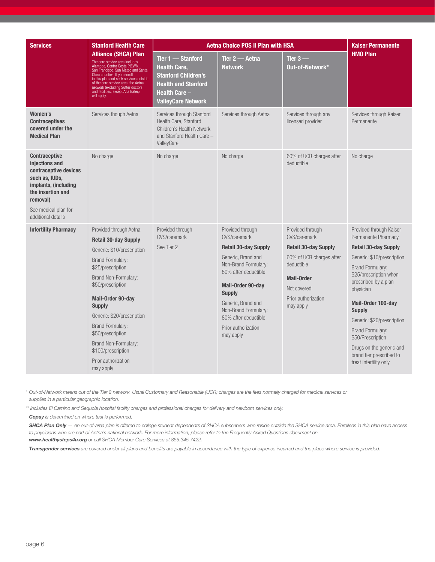| <b>Services</b>                                                                                                                                                                          | <b>Stanford Health Care</b>                                                                                                                                                                                                                                                                                                                                                            |                                                                                                                                                           | <b>Aetna Choice POS II Plan with HSA</b>                                                                                                                                                                                                                                              |                                                                                                                                                                                   | <b>Kaiser Permanente</b>                                                                                                                                                                                                                                                                                                                                                                                     |
|------------------------------------------------------------------------------------------------------------------------------------------------------------------------------------------|----------------------------------------------------------------------------------------------------------------------------------------------------------------------------------------------------------------------------------------------------------------------------------------------------------------------------------------------------------------------------------------|-----------------------------------------------------------------------------------------------------------------------------------------------------------|---------------------------------------------------------------------------------------------------------------------------------------------------------------------------------------------------------------------------------------------------------------------------------------|-----------------------------------------------------------------------------------------------------------------------------------------------------------------------------------|--------------------------------------------------------------------------------------------------------------------------------------------------------------------------------------------------------------------------------------------------------------------------------------------------------------------------------------------------------------------------------------------------------------|
|                                                                                                                                                                                          | <b>Alliance (SHCA) Plan</b><br>The core service area includes<br>Alameda, Contra Costa (NEW!),<br>San Francisco, San Mateo and Santa<br>Clara counties. If you enroll<br>in this plan and seek services outside<br>of the core service area, the Aetha<br>network (excluding Sutter doctors<br>and facilities, except Alta Bates)<br>will apply.                                       | Tier 1 - Stanford<br><b>Health Care,</b><br><b>Stanford Children's</b><br><b>Health and Stanford</b><br><b>Health Care -</b><br><b>ValleyCare Network</b> | Tier 2 — Aetna<br><b>Network</b>                                                                                                                                                                                                                                                      | Tier $3-$<br>Out-of-Network*                                                                                                                                                      | <b>HMO Plan</b>                                                                                                                                                                                                                                                                                                                                                                                              |
| Women's<br><b>Contraceptives</b><br>covered under the<br><b>Medical Plan</b>                                                                                                             | Services though Aetna                                                                                                                                                                                                                                                                                                                                                                  | Services through Stanford<br>Health Care, Stanford<br><b>Children's Health Network</b><br>and Stanford Health Care -<br>ValleyCare                        | Services through Aetna                                                                                                                                                                                                                                                                | Services through any<br>licensed provider                                                                                                                                         | Services through Kaiser<br>Permanente                                                                                                                                                                                                                                                                                                                                                                        |
| <b>Contraceptive</b><br>injections and<br>contraceptive devices<br>such as, IUDs,<br>implants, (including<br>the insertion and<br>removal)<br>See medical plan for<br>additional details | No charge                                                                                                                                                                                                                                                                                                                                                                              | No charge                                                                                                                                                 | No charge                                                                                                                                                                                                                                                                             | 60% of UCR charges after<br>deductible                                                                                                                                            | No charge                                                                                                                                                                                                                                                                                                                                                                                                    |
| <b>Infertility Pharmacy</b>                                                                                                                                                              | Provided through Aetna<br><b>Retail 30-day Supply</b><br>Generic: \$10/prescription<br><b>Brand Formulary:</b><br>\$25/prescription<br>Brand Non-Formulary:<br>\$50/prescription<br>Mail-Order 90-day<br><b>Supply</b><br>Generic: \$20/prescription<br><b>Brand Formulary:</b><br>\$50/prescription<br>Brand Non-Formulary:<br>\$100/prescription<br>Prior authorization<br>may apply | Provided through<br>CVS/caremark<br>See Tier 2                                                                                                            | Provided through<br>CVS/caremark<br><b>Retail 30-day Supply</b><br>Generic, Brand and<br>Non-Brand Formulary:<br>80% after deductible<br>Mail-Order 90-day<br><b>Supply</b><br>Generic, Brand and<br>Non-Brand Formulary:<br>80% after deductible<br>Prior authorization<br>may apply | Provided through<br>CVS/caremark<br><b>Retail 30-day Supply</b><br>60% of UCR charges after<br>deductible<br><b>Mail-Order</b><br>Not covered<br>Prior authorization<br>may apply | Provided through Kaiser<br>Permanente Pharmacy<br><b>Retail 30-day Supply</b><br>Generic: \$10/prescription<br><b>Brand Formulary:</b><br>\$25/prescription when<br>prescribed by a plan<br>physician<br>Mail-Order 100-day<br><b>Supply</b><br>Generic: \$20/prescription<br><b>Brand Formulary:</b><br>\$50/Prescription<br>Drugs on the generic and<br>brand tier prescribed to<br>treat infertility only |

*\* Out-of-Network means out of the Tier 2 network. Usual Customary and Reasonable (UCR) charges are the fees normally charged for medical services or supplies in a particular geographic location.*

*\*\* Includes El Camino and Sequoia hospital facility charges and professional charges for delivery and newborn services only.* 

*Copay is determined on where test is performed.*

*SHCA Plan Only — An out-of-area plan is offered to college student dependents of SHCA subscribers who reside outside the SHCA service area. Enrollees in this plan have access to physicians who are part of Aetna's national network. For more information, please refer to the Frequently Asked Questions document on [www.healthysteps4u.org](http://www.healthysteps4u.org) or call SHCA Member Care Services at 855.345.7422.*

*Transgender services are covered under all plans and benefits are payable in accordance with the type of expense incurred and the place where service is provided.*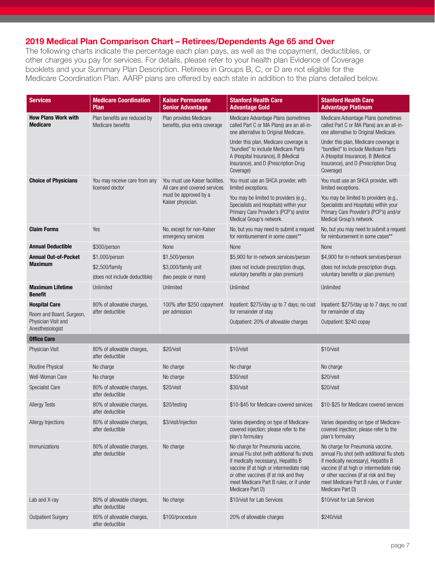## 2019 Medical Plan Comparison Chart – Retirees/Dependents Age 65 and Over

The following charts indicate the percentage each plan pays, as well as the copayment, deductibles, or other charges you pay for services. For details, please refer to your health plan Evidence of Coverage booklets and your Summary Plan Description. Retirees in Groups B, C, or D are not eligible for the Medicare Coordination Plan. AARP plans are offered by each state in addition to the plans detailed below.

| <b>Services</b>                                                     | <b>Medicare Coordination</b><br>Plan              | <b>Kaiser Permanente</b><br><b>Senior Advantage</b>                                                            | <b>Stanford Health Care</b><br><b>Advantage Gold</b>                                                                                                                                                                                                                                                 | <b>Stanford Health Care</b><br><b>Advantage Platinum</b>                                                                                                                                                                                                                                             |
|---------------------------------------------------------------------|---------------------------------------------------|----------------------------------------------------------------------------------------------------------------|------------------------------------------------------------------------------------------------------------------------------------------------------------------------------------------------------------------------------------------------------------------------------------------------------|------------------------------------------------------------------------------------------------------------------------------------------------------------------------------------------------------------------------------------------------------------------------------------------------------|
| <b>How Plans Work with</b><br><b>Medicare</b>                       | Plan benefits are reduced by<br>Medicare benefits | Plan provides Medicare<br>benefits, plus extra coverage                                                        | Medicare Advantage Plans (sometimes<br>called Part C or MA Plans) are an all-in-<br>one alternative to Original Medicare.<br>Under this plan, Medicare coverage is<br>"bundled" to include Medicare Parts<br>A (Hospital Insurance), B (Medical<br>Insurance), and D (Prescription Drug<br>Coverage) | Medicare Advantage Plans (sometimes<br>called Part C or MA Plans) are an all-in-<br>one alternative to Original Medicare.<br>Under this plan, Medicare coverage is<br>"bundled" to include Medicare Parts<br>A (Hospital Insurance), B (Medical<br>Insurance), and D (Prescription Drug<br>Coverage) |
| <b>Choice of Physicians</b>                                         | You may receive care from any<br>licensed doctor  | You must use Kaiser facilities.<br>All care and covered services<br>must be approved by a<br>Kaiser physician. | You must use an SHCA provider, with<br>limited exceptions.<br>You may be limited to providers (e.g.,<br>Specialists and Hospitals) within your<br>Primary Care Provider's (PCP's) and/or<br>Medical Group's network.                                                                                 | You must use an SHCA provider, with<br>limited exceptions.<br>You may be limited to providers (e.g.,<br>Specialists and Hospitals) within your<br>Primary Care Provider's (PCP's) and/or<br>Medical Group's network.                                                                                 |
| <b>Claim Forms</b>                                                  | Yes                                               | No, except for non-Kaiser<br>emergency services                                                                | No, but you may need to submit a request<br>for reimbursement in some cases**                                                                                                                                                                                                                        | No, but you may need to submit a request<br>for reimbursement in some cases**                                                                                                                                                                                                                        |
| <b>Annual Deductible</b>                                            | \$300/person                                      | None                                                                                                           | None                                                                                                                                                                                                                                                                                                 | None                                                                                                                                                                                                                                                                                                 |
| <b>Annual Out-of-Pocket</b>                                         | \$1,000/person                                    | \$1,500/person                                                                                                 | \$5,900 for in-network services/person                                                                                                                                                                                                                                                               | \$4,900 for in-network services/person                                                                                                                                                                                                                                                               |
| <b>Maximum</b>                                                      | \$2,500/family<br>(does not include deductible)   | \$3,000/family unit<br>(two people or more)                                                                    | (does not include prescription drugs,<br>voluntary benefits or plan premium)                                                                                                                                                                                                                         | (does not include prescription drugs,<br>voluntary benefits or plan premium)                                                                                                                                                                                                                         |
| <b>Maximum Lifetime</b><br><b>Benefit</b>                           | Unlimited                                         | Unlimited                                                                                                      | Unlimited                                                                                                                                                                                                                                                                                            | Unlimited                                                                                                                                                                                                                                                                                            |
| <b>Hospital Care</b>                                                | 80% of allowable charges,                         | 100% after \$250 copayment                                                                                     | Inpatient: \$275/day up to 7 days; no cost                                                                                                                                                                                                                                                           | Inpatient: \$275/day up to 7 days; no cost                                                                                                                                                                                                                                                           |
| Room and Board, Surgeon,<br>Physician Visit and<br>Anesthesiologist | after deductible                                  | per admission                                                                                                  | for remainder of stay<br>Outpatient: 20% of allowable charges                                                                                                                                                                                                                                        | for remainder of stay<br>Outpatient: \$240 copay                                                                                                                                                                                                                                                     |
| <b>Office Care</b>                                                  |                                                   |                                                                                                                |                                                                                                                                                                                                                                                                                                      |                                                                                                                                                                                                                                                                                                      |
| <b>Physician Visit</b>                                              | 80% of allowable charges,<br>after deductible     | \$20/visit                                                                                                     | \$10/visit                                                                                                                                                                                                                                                                                           | \$10/visit                                                                                                                                                                                                                                                                                           |
| Routine Physical                                                    | No charge                                         | No charge                                                                                                      | No charge                                                                                                                                                                                                                                                                                            | No charge                                                                                                                                                                                                                                                                                            |
| Well-Woman Care                                                     | No charge                                         | No charge                                                                                                      | \$30/visit                                                                                                                                                                                                                                                                                           | \$20/visit                                                                                                                                                                                                                                                                                           |
| <b>Specialist Care</b>                                              | 80% of allowable charges,<br>after deductible     | \$20/visit                                                                                                     | \$30/visit                                                                                                                                                                                                                                                                                           | \$20/visit                                                                                                                                                                                                                                                                                           |
| <b>Allergy Tests</b>                                                | 80% of allowable charges,<br>after deductible     | \$20/testing                                                                                                   | \$10-\$45 for Medicare covered services                                                                                                                                                                                                                                                              | \$10-\$25 for Medicare covered services                                                                                                                                                                                                                                                              |
| Allergy Injections                                                  | 80% of allowable charges,<br>after deductible     | \$3/visit/injection                                                                                            | Varies depending on type of Medicare-<br>covered injection; please refer to the<br>plan's formulary                                                                                                                                                                                                  | Varies depending on type of Medicare-<br>covered injection; please refer to the<br>plan's formulary                                                                                                                                                                                                  |
| <b>Immunizations</b>                                                | 80% of allowable charges,<br>after deductible     | No charge                                                                                                      | No charge for Pneumonia vaccine,<br>annual Flu shot (with additional flu shots<br>if medically necessary), Hepatitis B<br>vaccine (if at high or intermediate risk)<br>or other vaccines (if at risk and they<br>meet Medicare Part B rules, or if under<br>Medicare Part D)                         | No charge for Pneumonia vaccine,<br>annual Flu shot (with additional flu shots<br>if medically necessary), Hepatitis B<br>vaccine (if at high or intermediate risk)<br>or other vaccines (if at risk and they<br>meet Medicare Part B rules, or if under<br>Medicare Part D)                         |
| Lab and X-ray                                                       | 80% of allowable charges,<br>after deductible     | No charge                                                                                                      | \$10/visit for Lab Services                                                                                                                                                                                                                                                                          | \$10/visit for Lab Services                                                                                                                                                                                                                                                                          |
| <b>Outpatient Surgery</b>                                           | 80% of allowable charges,<br>after deductible     | \$100/procedure                                                                                                | 20% of allowable charges                                                                                                                                                                                                                                                                             | \$240/visit                                                                                                                                                                                                                                                                                          |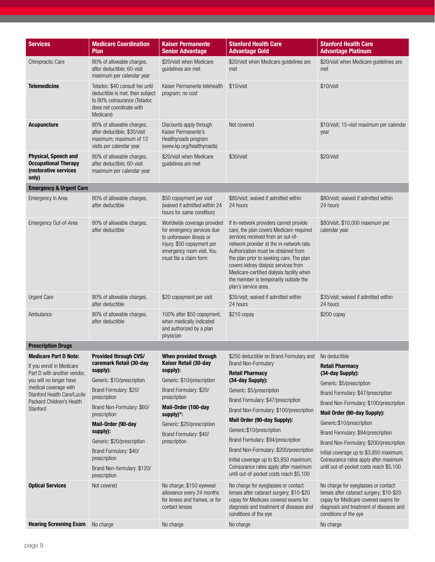| <b>Services</b>                                                                                                                                         | <b>Medicare Coordination</b><br>Plan                                                                                                                                               | <b>Kaiser Permanente</b><br><b>Senior Advantage</b>                                                                                                                                 | <b>Stanford Health Care</b><br><b>Advantage Gold</b>                                                                                                                                                                                                                                                                                                                                                        | <b>Stanford Health Care</b><br><b>Advantage Platinum</b>                                                                                                                                                                                                                     |
|---------------------------------------------------------------------------------------------------------------------------------------------------------|------------------------------------------------------------------------------------------------------------------------------------------------------------------------------------|-------------------------------------------------------------------------------------------------------------------------------------------------------------------------------------|-------------------------------------------------------------------------------------------------------------------------------------------------------------------------------------------------------------------------------------------------------------------------------------------------------------------------------------------------------------------------------------------------------------|------------------------------------------------------------------------------------------------------------------------------------------------------------------------------------------------------------------------------------------------------------------------------|
| <b>Chiropractic Care</b>                                                                                                                                | 80% of allowable charges,<br>after deductible; 60-visit<br>maximum per calendar year                                                                                               | \$20/visit when Medicare<br>guidelines are met                                                                                                                                      | \$20/visit when Medicare guidelines are<br>met                                                                                                                                                                                                                                                                                                                                                              | \$20/visit when Medicare guidelines are<br>met                                                                                                                                                                                                                               |
| <b>Telemedicine</b>                                                                                                                                     | Teladoc: \$40 consult fee until<br>deductible is met, then subject<br>to 80% coinsurance (Teladoc<br>does not coordinate with<br>Medicare)                                         | Kaiser Permanente telehealth<br>program; no cost                                                                                                                                    | \$10/visit                                                                                                                                                                                                                                                                                                                                                                                                  | \$10/visit                                                                                                                                                                                                                                                                   |
| <b>Acupuncture</b>                                                                                                                                      | 80% of allowable charges,<br>after deductible; \$30/visit<br>maximum; maximum of 12<br>visits per calendar year                                                                    | Discounts apply through<br>Kaiser Permanente's<br>Healthyroads program<br>(www.kp.org/healthyroads)                                                                                 | Not covered                                                                                                                                                                                                                                                                                                                                                                                                 | \$10/visit; 15-visit maximum per calendar<br>year                                                                                                                                                                                                                            |
| Physical, Speech and<br><b>Occupational Therapy</b><br>(restorative services<br>only)                                                                   | 80% of allowable charges,<br>after deductible; 60-visit<br>maximum per calendar year                                                                                               | \$20/visit when Medicare<br>guidelines are met                                                                                                                                      | \$30/visit                                                                                                                                                                                                                                                                                                                                                                                                  | \$20/visit                                                                                                                                                                                                                                                                   |
| <b>Emergency &amp; Urgent Care</b>                                                                                                                      |                                                                                                                                                                                    |                                                                                                                                                                                     |                                                                                                                                                                                                                                                                                                                                                                                                             |                                                                                                                                                                                                                                                                              |
| Emergency in Area                                                                                                                                       | 80% of allowable charges,<br>after deductible                                                                                                                                      | \$50 copayment per visit<br>(waived if admitted within 24<br>hours for same condition)                                                                                              | \$80/visit; waived if admitted within<br>24 hours                                                                                                                                                                                                                                                                                                                                                           | \$80/visit; waived if admitted within<br>24 hours                                                                                                                                                                                                                            |
| Emergency Out-of-Area                                                                                                                                   | 80% of allowable charges,<br>after deductible                                                                                                                                      | Worldwide coverage provided<br>for emergency services due<br>to unforeseen illness or<br>injury. \$50 copayment per<br>emergency room visit. You<br>must file a claim form.         | If in-network providers cannot provide<br>care, the plan covers Medicare-required<br>services received from an out-of-<br>network provider at the in-network rate.<br>Authorization must be obtained from<br>the plan prior to seeking care. The plan<br>covers kidney dialysis services from<br>Medicare-certified dialysis facility when<br>the member is temporarily outside the<br>plan's service area. | \$80/visit; \$10,000 maximum per<br>calendar year                                                                                                                                                                                                                            |
| <b>Urgent Care</b>                                                                                                                                      | 80% of allowable charges,<br>after deductible                                                                                                                                      | \$20 copayment per visit                                                                                                                                                            | \$35/visit; waived if admitted within<br>24 hours                                                                                                                                                                                                                                                                                                                                                           | \$35/visit; waived if admitted within<br>24 hours                                                                                                                                                                                                                            |
| Ambulance                                                                                                                                               | 80% of allowable charges,<br>after deductible                                                                                                                                      | 100% after \$50 copayment,<br>when medically indicated<br>and authorized by a plan<br>physician                                                                                     | \$210 copay                                                                                                                                                                                                                                                                                                                                                                                                 | $$200$ copay                                                                                                                                                                                                                                                                 |
| <b>Prescription Drugs</b>                                                                                                                               |                                                                                                                                                                                    |                                                                                                                                                                                     |                                                                                                                                                                                                                                                                                                                                                                                                             |                                                                                                                                                                                                                                                                              |
| <b>Medicare Part D Note:</b><br>If you enroll in Medicare                                                                                               | Provided through CVS/<br>caremark Retail (30-day<br>supply):                                                                                                                       | When provided through<br>Kaiser Retail (30-day<br>supply):                                                                                                                          | \$250 deductible on Brand Formulary and<br><b>Brand Non-Formulary</b>                                                                                                                                                                                                                                                                                                                                       | No deductible<br><b>Retail Pharmacy</b>                                                                                                                                                                                                                                      |
| Part D with another vendor,<br>you will no longer have<br>medical coverage with<br>Stanford Health Care/Lucile<br>Packard Children's Health<br>Stanford | Generic: \$10/prescription<br>Brand Formulary: \$20/<br>prescription<br>Brand Non-Formulary: \$60/<br>prescription<br>Mail-Order (90-day<br>supply):<br>Generic: \$20/prescription | Generic: \$10/prescription<br>Brand Formulary: \$20/<br>prescription<br>Mail-Order (100-day<br>$supply$ )*:<br>Generic: \$20/prescription<br>Brand Formulary: \$40/<br>prescription | <b>Retail Pharmacy</b><br>(34-day Supply):<br>Generic: \$5/prescription<br>Brand Formulary: \$47/prescription<br>Brand Non-Formulary: \$100/prescription<br>Mail Order (90-day Supply):<br>Generic:\$10/prescription<br>Brand Formulary: \$94/prescription                                                                                                                                                  | (34-day Supply):<br>Generic: \$5/prescription<br>Brand Formulary: \$47/prescription<br>Brand Non-Formulary: \$100/prescription<br>Mail Order (90-day Supply):<br>Generic: \$10/prescription<br>Brand Formulary: \$94/prescription<br>Brand Non-Formulary: \$200/prescription |
|                                                                                                                                                         | Brand Formulary: \$40/<br>prescription<br>Brand Non-formulary: \$120/<br>prescription                                                                                              |                                                                                                                                                                                     | Brand Non-Formulary: \$200/prescription<br>Initial coverage up to \$3,850 maximum;<br>Coinsurance rates apply after maximum<br>until out-of-pocket costs reach \$5,100                                                                                                                                                                                                                                      | Initial coverage up to \$3,850 maximum;<br>Coinsurance rates apply after maximum<br>until out-of-pocket costs reach \$5,100                                                                                                                                                  |
| <b>Optical Services</b>                                                                                                                                 | Not covered                                                                                                                                                                        | No charge; \$150 eyewear<br>allowance every 24 months<br>for lenses and frames, or for<br>contact lenses                                                                            | No charge for eyeglasses or contact<br>lenses after cataract surgery; \$10-\$20<br>copay for Medicare covered exams for<br>diagnosis and treatment of diseases and<br>conditions of the eye                                                                                                                                                                                                                 | No charge for eyeglasses or contact<br>lenses after cataract surgery; \$10-\$20<br>copay for Medicare covered exams for<br>diagnosis and treatment of diseases and<br>conditions of the eye                                                                                  |
| <b>Hearing Screening Exam</b>                                                                                                                           | No charge                                                                                                                                                                          | No charge                                                                                                                                                                           | No charge                                                                                                                                                                                                                                                                                                                                                                                                   | No charge                                                                                                                                                                                                                                                                    |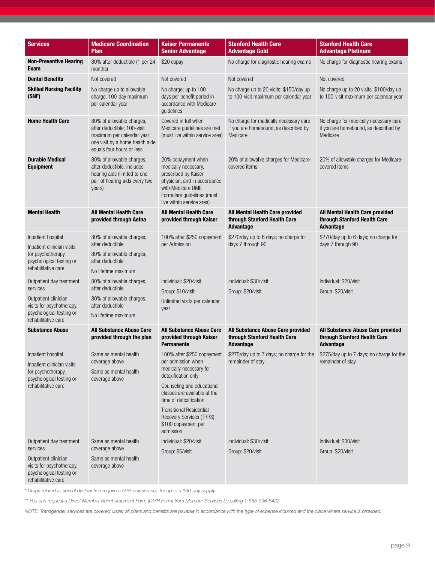| <b>Services</b>                                                                                                                              | <b>Medicare Coordination</b><br><b>Plan</b>                                                                                                            | <b>Kaiser Permanente</b><br><b>Senior Advantage</b>                                                                                                                                                                                                                                            | <b>Stanford Health Care</b><br><b>Advantage Gold</b>                                        | <b>Stanford Health Care</b><br><b>Advantage Platinum</b>                                    |
|----------------------------------------------------------------------------------------------------------------------------------------------|--------------------------------------------------------------------------------------------------------------------------------------------------------|------------------------------------------------------------------------------------------------------------------------------------------------------------------------------------------------------------------------------------------------------------------------------------------------|---------------------------------------------------------------------------------------------|---------------------------------------------------------------------------------------------|
| <b>Non-Preventive Hearing</b><br>Exam                                                                                                        | 80% after deductible (1 per 24<br>months)                                                                                                              | \$20 copay                                                                                                                                                                                                                                                                                     | No charge for diagnostic hearing exams                                                      | No charge for diagnostic hearing exams                                                      |
| <b>Dental Benefits</b>                                                                                                                       | Not covered                                                                                                                                            | Not covered                                                                                                                                                                                                                                                                                    | Not covered                                                                                 | Not covered                                                                                 |
| <b>Skilled Nursing Facility</b><br>(SNF)                                                                                                     | No charge up to allowable<br>charge; 100-day maximum<br>per calendar year                                                                              | No charge; up to 100<br>days per benefit period in<br>accordance with Medicare<br>guidelines                                                                                                                                                                                                   | No charge up to 20 visits; \$150/day up<br>to 100-visit maximum per calendar year           | No charge up to 20 visits; \$100/day up<br>to 100-visit maximum per calendar year           |
| <b>Home Health Care</b>                                                                                                                      | 80% of allowable charges,<br>after deductible; 100-visit<br>maximum per calendar year;<br>one visit by a home health aide<br>equals four hours or less | Covered in full when<br>Medicare guidelines are met<br>(must live within service area)                                                                                                                                                                                                         | No charge for medically necessary care<br>if you are homebound, as described by<br>Medicare | No charge for medically necessary care<br>if you are homebound, as described by<br>Medicare |
| <b>Durable Medical</b><br><b>Equipment</b>                                                                                                   | 80% of allowable charges,<br>after deductible; includes<br>hearing aids (limited to one<br>pair of hearing aids every two<br>years)                    | 20% copayment when<br>medically necessary,<br>prescribed by Kaiser<br>physician, and in accordance<br>with Medicare DME<br>Formulary quidelines (must<br>live within service area)                                                                                                             | 20% of allowable charges for Medicare-<br>covered items                                     | 20% of allowable charges for Medicare-<br>covered items                                     |
| <b>Mental Health</b>                                                                                                                         | <b>All Mental Health Care</b><br>provided through Aetna                                                                                                | <b>All Mental Health Care</b><br>provided through Kaiser                                                                                                                                                                                                                                       | All Mental Health Care provided<br>through Stanford Health Care<br>Advantage                | All Mental Health Care provided<br>through Stanford Health Care<br>Advantage                |
| Inpatient hospital<br>Inpatient clinician visits<br>for psychotherapy,<br>psychological testing or<br>rehabilitative care                    | 80% of allowable charges,<br>after deductible<br>80% of allowable charges,<br>after deductible<br>No lifetime maximum                                  | 100% after \$250 copayment<br>per Admission                                                                                                                                                                                                                                                    | \$270/day up to 6 days; no charge for<br>days 7 through 90                                  | \$270/day up to 6 days; no charge for<br>days 7 through 90                                  |
| Outpatient day treatment<br>services<br>Outpatient clinician<br>visits for psychotherapy,<br>psychological testing or<br>rehabilitative care | 80% of allowable charges,<br>after deductible<br>80% of allowable charges,<br>after deductible<br>No lifetime maximum                                  | Individual: \$20/visit<br>Group: \$10/visit<br>Unlimited visits per calendar<br>year                                                                                                                                                                                                           | Individual: \$30/visit<br>Group: \$20/visit                                                 | Individual: \$20/visit<br>Group: \$20/visit                                                 |
| <b>Substance Abuse</b>                                                                                                                       | <b>All Substance Abuse Care</b><br>provided through the plan                                                                                           | <b>All Substance Abuse Care</b><br>provided through Kaiser<br><b>Permanente</b>                                                                                                                                                                                                                | All Substance Abuse Care provided<br>through Stanford Health Care<br>Advantage              | All Substance Abuse Care provided<br>through Stanford Health Care<br>Advantage              |
| Inpatient hospital<br>Inpatient clinician visits<br>for psychotherapy.<br>psychological testing or<br>rehabilitative care                    | Same as mental health<br>coverage above<br>Same as mental health<br>coverage above                                                                     | 100% after \$250 copayment<br>per admission when<br>medically necessary for<br>detoxification only<br>Counseling and educational<br>classes are available at the<br>time of detoxification<br><b>Transitional Residential</b><br>Recovery Services (TRRS),<br>\$100 copayment per<br>admission | \$275/day up to 7 days; no charge for the<br>remainder of stay                              | \$275/day up to 7 days; no charge for the<br>remainder of stay                              |
| Outpatient day treatment<br>services<br>Outpatient clinician<br>visits for psychotherapy,<br>psychological testing or<br>rehabilitative care | Same as mental health<br>coverage above<br>Same as mental health<br>coverage above                                                                     | Individual: \$20/visit<br>Group: \$5/visit                                                                                                                                                                                                                                                     | Individual: \$30/visit<br>Group: \$20/visit                                                 | Individual: \$30/visit<br>Group: \$20/visit                                                 |

*\* Drugs related to sexual dysfunction require a 50% coinsurance for up to a 100-day supply.*

*\*\* You can request a Direct Member Reimbursement Form (DMR Form) from Member Services by calling 1-855-996-8422.*

*NOTE: Transgender services are covered under all plans and benefits are payable in accordance with the type of expense incurred and the place where service is provided.*